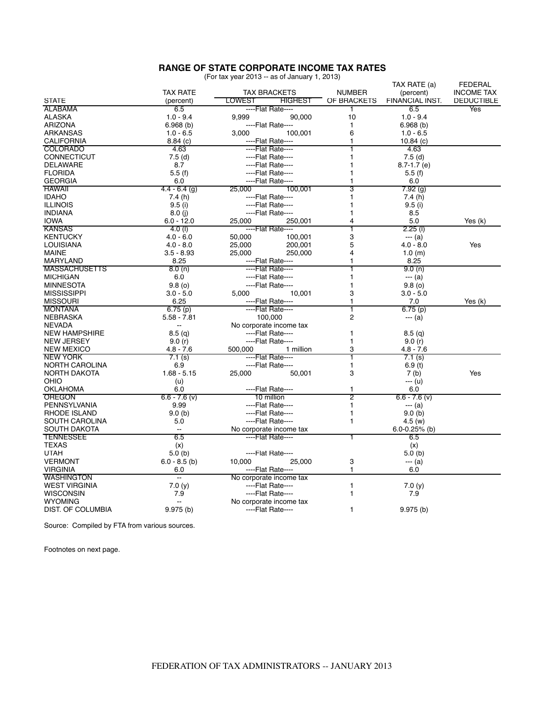## **RANGE OF STATE CORPORATE INCOME TAX RATES** (For tax year 2013 -- as of January 1, 2013)

| (For tax year 2013 -- as of January 1, 2013) |  |  |  |  |  |
|----------------------------------------------|--|--|--|--|--|
|----------------------------------------------|--|--|--|--|--|

| <b>TAX RATE</b><br><b>TAX BRACKETS</b><br><b>NUMBER</b><br>(percent)<br><b>INCOME TAX</b><br>LOWEST<br><b>FINANCIAL INST.</b><br>(percent)<br><b>HIGHEST</b><br>OF BRACKETS<br><b>DEDUCTIBLE</b><br>6.5<br>----Flat Rate----<br>6.5<br>Yes<br>1<br>10<br>$1.0 - 9.4$<br>9.999<br>90.000<br>$1.0 - 9.4$<br>----Flat Rate----<br>6.968(b)<br>$\mathbf{1}$<br>6.968(b)<br>6<br>$1.0 - 6.5$<br>3,000<br>100,001<br>$1.0 - 6.5$<br>8.84(c)<br>----Flat Rate----<br>1<br>10.84 $(c)$<br>4.63<br>4.63<br><b>COLORADO</b><br>----Flat Rate----<br>1<br>$7.5$ (d)<br>----Flat Rate----<br>1<br>7.5(d)<br>DELAWARE<br>8.7<br>----Flat Rate----<br>1<br>$8.7 - 1.7$ (e)<br><b>FLORIDA</b><br>5.5(f)<br>----Flat Rate----<br>1<br>5.5(f)<br><b>GEORGIA</b><br>6.0<br>----Flat Rate----<br>1<br>6.0<br><b>HAWAII</b><br>3<br>$4.4 - 6.4$ (g)<br>25,000<br>100,001<br>7.92 (g)<br><b>IDAHO</b><br>7.4(h)<br>----Flat Rate----<br>$\mathbf{1}$<br>7.4(h)<br><b>ILLINOIS</b><br>9.5(i)<br>----Flat Rate----<br>1<br>9.5(i)<br><b>INDIANA</b><br>----Flat Rate----<br>8.5<br>8.0(i)<br>1<br>4<br><b>IOWA</b><br>$6.0 - 12.0$<br>25,000<br>250,001<br>5.0<br>Yes (k)<br>$4.0$ (l)<br>----Flat Rate----<br>$2.25$ (l)<br><b>KANSAS</b><br>1<br>3<br><b>KENTUCKY</b><br>$4.0 - 6.0$<br>50,000<br>100,001<br>--- (a)<br>5<br>Yes<br><b>LOUISIANA</b><br>$4.0 - 8.0$<br>25,000<br>200,001<br>$4.0 - 8.0$<br><b>MAINE</b><br>$3.5 - 8.93$<br>25,000<br>250.000<br>4<br>1.0(m)<br><b>MARYLAND</b><br>8.25<br>8.25<br>----Flat Rate----<br>1<br><b>MASSACHUSETTS</b><br>8.0(n)<br>----Flat Rate----<br>9.0(n)<br>6.0<br>----Flat Rate----<br>1<br>$--(a)$<br><b>MICHIGAN</b><br><b>MINNESOTA</b><br>9.8(0)<br>----Flat Rate----<br>1<br>9.8(0)<br>3<br><b>MISSISSIPPI</b><br>5,000<br>10,001<br>$3.0 - 5.0$<br>$3.0 - 5.0$<br><b>MISSOURI</b><br>6.25<br>----Flat Rate----<br>7.0<br>Yes (k)<br>1<br><b>MONTANA</b><br>T<br>6.75(p)<br>----Flat Rate----<br>6.75(p)<br><b>NEBRASKA</b><br>100,000<br>2<br>$5.58 - 7.81$<br>--- (a)<br><b>NEVADA</b><br>No corporate income tax<br>$\sim$ $\sim$<br><b>NEW HAMPSHIRE</b><br>8.5 <sub>(q)</sub><br>----Flat Rate----<br>1<br>8.5(q)<br><b>NEW JERSEY</b><br>----Flat Rate----<br>9.0(r)<br>9.0(r)<br>1<br>3<br>$4.8 - 7.6$<br><b>NEW MEXICO</b><br>$4.8 - 7.6$<br>500,000<br>1 million<br>----Flat Rate----<br>ī<br><b>NEW YORK</b><br>7.1(s)<br>7.1(s)<br><b>NORTH CAROLINA</b><br>----Flat Rate----<br>1<br>6.9<br>6.9(t)<br>3<br>Yes<br>NORTH DAKOTA<br>$1.68 - 5.15$<br>25,000<br>50,001<br>7 (b)<br>OHIO<br>--- (u)<br>(u)<br><b>OKLAHOMA</b><br>6.0<br>----Flat Rate----<br>1<br>6.0<br>2<br>$6.6 - 7.6$ (v)<br>10 million<br>$6.6 - 7.6$ (v)<br>9.99<br>----Flat Rate----<br>1<br>--- (a)<br>1<br>9.0(b)<br>----Flat Rate----<br>9.0(b)<br>----Flat Rate----<br>5.0<br>1<br>4.5(w)<br>$6.0 - 0.25%$ (b)<br>No corporate income tax<br>$-$<br>6.5<br>----Flat Rate----<br>ī<br>6.5<br>(x)<br>(x)<br>5.0(b)<br>----Flat Rate----<br>5.0 <sub>(b)</sub><br>3<br>$6.0 - 8.5$ (b)<br>10,000<br>25,000<br>--- (a)<br>1<br>----Flat Rate----<br>6.0<br>6.0<br>$\overline{\phantom{a}}$<br>No corporate income tax<br>7.0(y)<br>----Flat Rate----<br>$\mathbf{1}$<br>7.0(y)<br>----Flat Rate----<br>1 |                      |     |  |  |  | TAX RATE (a) | FEDERAL |
|---------------------------------------------------------------------------------------------------------------------------------------------------------------------------------------------------------------------------------------------------------------------------------------------------------------------------------------------------------------------------------------------------------------------------------------------------------------------------------------------------------------------------------------------------------------------------------------------------------------------------------------------------------------------------------------------------------------------------------------------------------------------------------------------------------------------------------------------------------------------------------------------------------------------------------------------------------------------------------------------------------------------------------------------------------------------------------------------------------------------------------------------------------------------------------------------------------------------------------------------------------------------------------------------------------------------------------------------------------------------------------------------------------------------------------------------------------------------------------------------------------------------------------------------------------------------------------------------------------------------------------------------------------------------------------------------------------------------------------------------------------------------------------------------------------------------------------------------------------------------------------------------------------------------------------------------------------------------------------------------------------------------------------------------------------------------------------------------------------------------------------------------------------------------------------------------------------------------------------------------------------------------------------------------------------------------------------------------------------------------------------------------------------------------------------------------------------------------------------------------------------------------------------------------------------------------------------------------------------------------------------------------------------------------------------------------------------------------------------------------------------------------------------------------------------------------------------------------------------------------------------------------------------------------------------------------------------------------------------------------------------------------------------------------------------------------------------------------------------------------------------------------------------------------------------------------------------------------------|----------------------|-----|--|--|--|--------------|---------|
|                                                                                                                                                                                                                                                                                                                                                                                                                                                                                                                                                                                                                                                                                                                                                                                                                                                                                                                                                                                                                                                                                                                                                                                                                                                                                                                                                                                                                                                                                                                                                                                                                                                                                                                                                                                                                                                                                                                                                                                                                                                                                                                                                                                                                                                                                                                                                                                                                                                                                                                                                                                                                                                                                                                                                                                                                                                                                                                                                                                                                                                                                                                                                                                                                           |                      |     |  |  |  |              |         |
|                                                                                                                                                                                                                                                                                                                                                                                                                                                                                                                                                                                                                                                                                                                                                                                                                                                                                                                                                                                                                                                                                                                                                                                                                                                                                                                                                                                                                                                                                                                                                                                                                                                                                                                                                                                                                                                                                                                                                                                                                                                                                                                                                                                                                                                                                                                                                                                                                                                                                                                                                                                                                                                                                                                                                                                                                                                                                                                                                                                                                                                                                                                                                                                                                           | <b>STATE</b>         |     |  |  |  |              |         |
|                                                                                                                                                                                                                                                                                                                                                                                                                                                                                                                                                                                                                                                                                                                                                                                                                                                                                                                                                                                                                                                                                                                                                                                                                                                                                                                                                                                                                                                                                                                                                                                                                                                                                                                                                                                                                                                                                                                                                                                                                                                                                                                                                                                                                                                                                                                                                                                                                                                                                                                                                                                                                                                                                                                                                                                                                                                                                                                                                                                                                                                                                                                                                                                                                           | <b>ALABAMA</b>       |     |  |  |  |              |         |
|                                                                                                                                                                                                                                                                                                                                                                                                                                                                                                                                                                                                                                                                                                                                                                                                                                                                                                                                                                                                                                                                                                                                                                                                                                                                                                                                                                                                                                                                                                                                                                                                                                                                                                                                                                                                                                                                                                                                                                                                                                                                                                                                                                                                                                                                                                                                                                                                                                                                                                                                                                                                                                                                                                                                                                                                                                                                                                                                                                                                                                                                                                                                                                                                                           | <b>ALASKA</b>        |     |  |  |  |              |         |
|                                                                                                                                                                                                                                                                                                                                                                                                                                                                                                                                                                                                                                                                                                                                                                                                                                                                                                                                                                                                                                                                                                                                                                                                                                                                                                                                                                                                                                                                                                                                                                                                                                                                                                                                                                                                                                                                                                                                                                                                                                                                                                                                                                                                                                                                                                                                                                                                                                                                                                                                                                                                                                                                                                                                                                                                                                                                                                                                                                                                                                                                                                                                                                                                                           | <b>ARIZONA</b>       |     |  |  |  |              |         |
|                                                                                                                                                                                                                                                                                                                                                                                                                                                                                                                                                                                                                                                                                                                                                                                                                                                                                                                                                                                                                                                                                                                                                                                                                                                                                                                                                                                                                                                                                                                                                                                                                                                                                                                                                                                                                                                                                                                                                                                                                                                                                                                                                                                                                                                                                                                                                                                                                                                                                                                                                                                                                                                                                                                                                                                                                                                                                                                                                                                                                                                                                                                                                                                                                           | <b>ARKANSAS</b>      |     |  |  |  |              |         |
|                                                                                                                                                                                                                                                                                                                                                                                                                                                                                                                                                                                                                                                                                                                                                                                                                                                                                                                                                                                                                                                                                                                                                                                                                                                                                                                                                                                                                                                                                                                                                                                                                                                                                                                                                                                                                                                                                                                                                                                                                                                                                                                                                                                                                                                                                                                                                                                                                                                                                                                                                                                                                                                                                                                                                                                                                                                                                                                                                                                                                                                                                                                                                                                                                           | <b>CALIFORNIA</b>    |     |  |  |  |              |         |
|                                                                                                                                                                                                                                                                                                                                                                                                                                                                                                                                                                                                                                                                                                                                                                                                                                                                                                                                                                                                                                                                                                                                                                                                                                                                                                                                                                                                                                                                                                                                                                                                                                                                                                                                                                                                                                                                                                                                                                                                                                                                                                                                                                                                                                                                                                                                                                                                                                                                                                                                                                                                                                                                                                                                                                                                                                                                                                                                                                                                                                                                                                                                                                                                                           |                      |     |  |  |  |              |         |
|                                                                                                                                                                                                                                                                                                                                                                                                                                                                                                                                                                                                                                                                                                                                                                                                                                                                                                                                                                                                                                                                                                                                                                                                                                                                                                                                                                                                                                                                                                                                                                                                                                                                                                                                                                                                                                                                                                                                                                                                                                                                                                                                                                                                                                                                                                                                                                                                                                                                                                                                                                                                                                                                                                                                                                                                                                                                                                                                                                                                                                                                                                                                                                                                                           | <b>CONNECTICUT</b>   |     |  |  |  |              |         |
|                                                                                                                                                                                                                                                                                                                                                                                                                                                                                                                                                                                                                                                                                                                                                                                                                                                                                                                                                                                                                                                                                                                                                                                                                                                                                                                                                                                                                                                                                                                                                                                                                                                                                                                                                                                                                                                                                                                                                                                                                                                                                                                                                                                                                                                                                                                                                                                                                                                                                                                                                                                                                                                                                                                                                                                                                                                                                                                                                                                                                                                                                                                                                                                                                           |                      |     |  |  |  |              |         |
|                                                                                                                                                                                                                                                                                                                                                                                                                                                                                                                                                                                                                                                                                                                                                                                                                                                                                                                                                                                                                                                                                                                                                                                                                                                                                                                                                                                                                                                                                                                                                                                                                                                                                                                                                                                                                                                                                                                                                                                                                                                                                                                                                                                                                                                                                                                                                                                                                                                                                                                                                                                                                                                                                                                                                                                                                                                                                                                                                                                                                                                                                                                                                                                                                           |                      |     |  |  |  |              |         |
|                                                                                                                                                                                                                                                                                                                                                                                                                                                                                                                                                                                                                                                                                                                                                                                                                                                                                                                                                                                                                                                                                                                                                                                                                                                                                                                                                                                                                                                                                                                                                                                                                                                                                                                                                                                                                                                                                                                                                                                                                                                                                                                                                                                                                                                                                                                                                                                                                                                                                                                                                                                                                                                                                                                                                                                                                                                                                                                                                                                                                                                                                                                                                                                                                           |                      |     |  |  |  |              |         |
|                                                                                                                                                                                                                                                                                                                                                                                                                                                                                                                                                                                                                                                                                                                                                                                                                                                                                                                                                                                                                                                                                                                                                                                                                                                                                                                                                                                                                                                                                                                                                                                                                                                                                                                                                                                                                                                                                                                                                                                                                                                                                                                                                                                                                                                                                                                                                                                                                                                                                                                                                                                                                                                                                                                                                                                                                                                                                                                                                                                                                                                                                                                                                                                                                           |                      |     |  |  |  |              |         |
|                                                                                                                                                                                                                                                                                                                                                                                                                                                                                                                                                                                                                                                                                                                                                                                                                                                                                                                                                                                                                                                                                                                                                                                                                                                                                                                                                                                                                                                                                                                                                                                                                                                                                                                                                                                                                                                                                                                                                                                                                                                                                                                                                                                                                                                                                                                                                                                                                                                                                                                                                                                                                                                                                                                                                                                                                                                                                                                                                                                                                                                                                                                                                                                                                           |                      |     |  |  |  |              |         |
|                                                                                                                                                                                                                                                                                                                                                                                                                                                                                                                                                                                                                                                                                                                                                                                                                                                                                                                                                                                                                                                                                                                                                                                                                                                                                                                                                                                                                                                                                                                                                                                                                                                                                                                                                                                                                                                                                                                                                                                                                                                                                                                                                                                                                                                                                                                                                                                                                                                                                                                                                                                                                                                                                                                                                                                                                                                                                                                                                                                                                                                                                                                                                                                                                           |                      |     |  |  |  |              |         |
|                                                                                                                                                                                                                                                                                                                                                                                                                                                                                                                                                                                                                                                                                                                                                                                                                                                                                                                                                                                                                                                                                                                                                                                                                                                                                                                                                                                                                                                                                                                                                                                                                                                                                                                                                                                                                                                                                                                                                                                                                                                                                                                                                                                                                                                                                                                                                                                                                                                                                                                                                                                                                                                                                                                                                                                                                                                                                                                                                                                                                                                                                                                                                                                                                           |                      |     |  |  |  |              |         |
|                                                                                                                                                                                                                                                                                                                                                                                                                                                                                                                                                                                                                                                                                                                                                                                                                                                                                                                                                                                                                                                                                                                                                                                                                                                                                                                                                                                                                                                                                                                                                                                                                                                                                                                                                                                                                                                                                                                                                                                                                                                                                                                                                                                                                                                                                                                                                                                                                                                                                                                                                                                                                                                                                                                                                                                                                                                                                                                                                                                                                                                                                                                                                                                                                           |                      |     |  |  |  |              |         |
|                                                                                                                                                                                                                                                                                                                                                                                                                                                                                                                                                                                                                                                                                                                                                                                                                                                                                                                                                                                                                                                                                                                                                                                                                                                                                                                                                                                                                                                                                                                                                                                                                                                                                                                                                                                                                                                                                                                                                                                                                                                                                                                                                                                                                                                                                                                                                                                                                                                                                                                                                                                                                                                                                                                                                                                                                                                                                                                                                                                                                                                                                                                                                                                                                           |                      |     |  |  |  |              |         |
|                                                                                                                                                                                                                                                                                                                                                                                                                                                                                                                                                                                                                                                                                                                                                                                                                                                                                                                                                                                                                                                                                                                                                                                                                                                                                                                                                                                                                                                                                                                                                                                                                                                                                                                                                                                                                                                                                                                                                                                                                                                                                                                                                                                                                                                                                                                                                                                                                                                                                                                                                                                                                                                                                                                                                                                                                                                                                                                                                                                                                                                                                                                                                                                                                           |                      |     |  |  |  |              |         |
|                                                                                                                                                                                                                                                                                                                                                                                                                                                                                                                                                                                                                                                                                                                                                                                                                                                                                                                                                                                                                                                                                                                                                                                                                                                                                                                                                                                                                                                                                                                                                                                                                                                                                                                                                                                                                                                                                                                                                                                                                                                                                                                                                                                                                                                                                                                                                                                                                                                                                                                                                                                                                                                                                                                                                                                                                                                                                                                                                                                                                                                                                                                                                                                                                           |                      |     |  |  |  |              |         |
|                                                                                                                                                                                                                                                                                                                                                                                                                                                                                                                                                                                                                                                                                                                                                                                                                                                                                                                                                                                                                                                                                                                                                                                                                                                                                                                                                                                                                                                                                                                                                                                                                                                                                                                                                                                                                                                                                                                                                                                                                                                                                                                                                                                                                                                                                                                                                                                                                                                                                                                                                                                                                                                                                                                                                                                                                                                                                                                                                                                                                                                                                                                                                                                                                           |                      |     |  |  |  |              |         |
|                                                                                                                                                                                                                                                                                                                                                                                                                                                                                                                                                                                                                                                                                                                                                                                                                                                                                                                                                                                                                                                                                                                                                                                                                                                                                                                                                                                                                                                                                                                                                                                                                                                                                                                                                                                                                                                                                                                                                                                                                                                                                                                                                                                                                                                                                                                                                                                                                                                                                                                                                                                                                                                                                                                                                                                                                                                                                                                                                                                                                                                                                                                                                                                                                           |                      |     |  |  |  |              |         |
|                                                                                                                                                                                                                                                                                                                                                                                                                                                                                                                                                                                                                                                                                                                                                                                                                                                                                                                                                                                                                                                                                                                                                                                                                                                                                                                                                                                                                                                                                                                                                                                                                                                                                                                                                                                                                                                                                                                                                                                                                                                                                                                                                                                                                                                                                                                                                                                                                                                                                                                                                                                                                                                                                                                                                                                                                                                                                                                                                                                                                                                                                                                                                                                                                           |                      |     |  |  |  |              |         |
|                                                                                                                                                                                                                                                                                                                                                                                                                                                                                                                                                                                                                                                                                                                                                                                                                                                                                                                                                                                                                                                                                                                                                                                                                                                                                                                                                                                                                                                                                                                                                                                                                                                                                                                                                                                                                                                                                                                                                                                                                                                                                                                                                                                                                                                                                                                                                                                                                                                                                                                                                                                                                                                                                                                                                                                                                                                                                                                                                                                                                                                                                                                                                                                                                           |                      |     |  |  |  |              |         |
|                                                                                                                                                                                                                                                                                                                                                                                                                                                                                                                                                                                                                                                                                                                                                                                                                                                                                                                                                                                                                                                                                                                                                                                                                                                                                                                                                                                                                                                                                                                                                                                                                                                                                                                                                                                                                                                                                                                                                                                                                                                                                                                                                                                                                                                                                                                                                                                                                                                                                                                                                                                                                                                                                                                                                                                                                                                                                                                                                                                                                                                                                                                                                                                                                           |                      |     |  |  |  |              |         |
|                                                                                                                                                                                                                                                                                                                                                                                                                                                                                                                                                                                                                                                                                                                                                                                                                                                                                                                                                                                                                                                                                                                                                                                                                                                                                                                                                                                                                                                                                                                                                                                                                                                                                                                                                                                                                                                                                                                                                                                                                                                                                                                                                                                                                                                                                                                                                                                                                                                                                                                                                                                                                                                                                                                                                                                                                                                                                                                                                                                                                                                                                                                                                                                                                           |                      |     |  |  |  |              |         |
|                                                                                                                                                                                                                                                                                                                                                                                                                                                                                                                                                                                                                                                                                                                                                                                                                                                                                                                                                                                                                                                                                                                                                                                                                                                                                                                                                                                                                                                                                                                                                                                                                                                                                                                                                                                                                                                                                                                                                                                                                                                                                                                                                                                                                                                                                                                                                                                                                                                                                                                                                                                                                                                                                                                                                                                                                                                                                                                                                                                                                                                                                                                                                                                                                           |                      |     |  |  |  |              |         |
|                                                                                                                                                                                                                                                                                                                                                                                                                                                                                                                                                                                                                                                                                                                                                                                                                                                                                                                                                                                                                                                                                                                                                                                                                                                                                                                                                                                                                                                                                                                                                                                                                                                                                                                                                                                                                                                                                                                                                                                                                                                                                                                                                                                                                                                                                                                                                                                                                                                                                                                                                                                                                                                                                                                                                                                                                                                                                                                                                                                                                                                                                                                                                                                                                           |                      |     |  |  |  |              |         |
|                                                                                                                                                                                                                                                                                                                                                                                                                                                                                                                                                                                                                                                                                                                                                                                                                                                                                                                                                                                                                                                                                                                                                                                                                                                                                                                                                                                                                                                                                                                                                                                                                                                                                                                                                                                                                                                                                                                                                                                                                                                                                                                                                                                                                                                                                                                                                                                                                                                                                                                                                                                                                                                                                                                                                                                                                                                                                                                                                                                                                                                                                                                                                                                                                           |                      |     |  |  |  |              |         |
|                                                                                                                                                                                                                                                                                                                                                                                                                                                                                                                                                                                                                                                                                                                                                                                                                                                                                                                                                                                                                                                                                                                                                                                                                                                                                                                                                                                                                                                                                                                                                                                                                                                                                                                                                                                                                                                                                                                                                                                                                                                                                                                                                                                                                                                                                                                                                                                                                                                                                                                                                                                                                                                                                                                                                                                                                                                                                                                                                                                                                                                                                                                                                                                                                           |                      |     |  |  |  |              |         |
|                                                                                                                                                                                                                                                                                                                                                                                                                                                                                                                                                                                                                                                                                                                                                                                                                                                                                                                                                                                                                                                                                                                                                                                                                                                                                                                                                                                                                                                                                                                                                                                                                                                                                                                                                                                                                                                                                                                                                                                                                                                                                                                                                                                                                                                                                                                                                                                                                                                                                                                                                                                                                                                                                                                                                                                                                                                                                                                                                                                                                                                                                                                                                                                                                           |                      |     |  |  |  |              |         |
|                                                                                                                                                                                                                                                                                                                                                                                                                                                                                                                                                                                                                                                                                                                                                                                                                                                                                                                                                                                                                                                                                                                                                                                                                                                                                                                                                                                                                                                                                                                                                                                                                                                                                                                                                                                                                                                                                                                                                                                                                                                                                                                                                                                                                                                                                                                                                                                                                                                                                                                                                                                                                                                                                                                                                                                                                                                                                                                                                                                                                                                                                                                                                                                                                           |                      |     |  |  |  |              |         |
|                                                                                                                                                                                                                                                                                                                                                                                                                                                                                                                                                                                                                                                                                                                                                                                                                                                                                                                                                                                                                                                                                                                                                                                                                                                                                                                                                                                                                                                                                                                                                                                                                                                                                                                                                                                                                                                                                                                                                                                                                                                                                                                                                                                                                                                                                                                                                                                                                                                                                                                                                                                                                                                                                                                                                                                                                                                                                                                                                                                                                                                                                                                                                                                                                           |                      |     |  |  |  |              |         |
|                                                                                                                                                                                                                                                                                                                                                                                                                                                                                                                                                                                                                                                                                                                                                                                                                                                                                                                                                                                                                                                                                                                                                                                                                                                                                                                                                                                                                                                                                                                                                                                                                                                                                                                                                                                                                                                                                                                                                                                                                                                                                                                                                                                                                                                                                                                                                                                                                                                                                                                                                                                                                                                                                                                                                                                                                                                                                                                                                                                                                                                                                                                                                                                                                           |                      |     |  |  |  |              |         |
|                                                                                                                                                                                                                                                                                                                                                                                                                                                                                                                                                                                                                                                                                                                                                                                                                                                                                                                                                                                                                                                                                                                                                                                                                                                                                                                                                                                                                                                                                                                                                                                                                                                                                                                                                                                                                                                                                                                                                                                                                                                                                                                                                                                                                                                                                                                                                                                                                                                                                                                                                                                                                                                                                                                                                                                                                                                                                                                                                                                                                                                                                                                                                                                                                           |                      |     |  |  |  |              |         |
|                                                                                                                                                                                                                                                                                                                                                                                                                                                                                                                                                                                                                                                                                                                                                                                                                                                                                                                                                                                                                                                                                                                                                                                                                                                                                                                                                                                                                                                                                                                                                                                                                                                                                                                                                                                                                                                                                                                                                                                                                                                                                                                                                                                                                                                                                                                                                                                                                                                                                                                                                                                                                                                                                                                                                                                                                                                                                                                                                                                                                                                                                                                                                                                                                           |                      |     |  |  |  |              |         |
|                                                                                                                                                                                                                                                                                                                                                                                                                                                                                                                                                                                                                                                                                                                                                                                                                                                                                                                                                                                                                                                                                                                                                                                                                                                                                                                                                                                                                                                                                                                                                                                                                                                                                                                                                                                                                                                                                                                                                                                                                                                                                                                                                                                                                                                                                                                                                                                                                                                                                                                                                                                                                                                                                                                                                                                                                                                                                                                                                                                                                                                                                                                                                                                                                           |                      |     |  |  |  |              |         |
|                                                                                                                                                                                                                                                                                                                                                                                                                                                                                                                                                                                                                                                                                                                                                                                                                                                                                                                                                                                                                                                                                                                                                                                                                                                                                                                                                                                                                                                                                                                                                                                                                                                                                                                                                                                                                                                                                                                                                                                                                                                                                                                                                                                                                                                                                                                                                                                                                                                                                                                                                                                                                                                                                                                                                                                                                                                                                                                                                                                                                                                                                                                                                                                                                           |                      |     |  |  |  |              |         |
|                                                                                                                                                                                                                                                                                                                                                                                                                                                                                                                                                                                                                                                                                                                                                                                                                                                                                                                                                                                                                                                                                                                                                                                                                                                                                                                                                                                                                                                                                                                                                                                                                                                                                                                                                                                                                                                                                                                                                                                                                                                                                                                                                                                                                                                                                                                                                                                                                                                                                                                                                                                                                                                                                                                                                                                                                                                                                                                                                                                                                                                                                                                                                                                                                           |                      |     |  |  |  |              |         |
|                                                                                                                                                                                                                                                                                                                                                                                                                                                                                                                                                                                                                                                                                                                                                                                                                                                                                                                                                                                                                                                                                                                                                                                                                                                                                                                                                                                                                                                                                                                                                                                                                                                                                                                                                                                                                                                                                                                                                                                                                                                                                                                                                                                                                                                                                                                                                                                                                                                                                                                                                                                                                                                                                                                                                                                                                                                                                                                                                                                                                                                                                                                                                                                                                           | <b>OREGON</b>        |     |  |  |  |              |         |
|                                                                                                                                                                                                                                                                                                                                                                                                                                                                                                                                                                                                                                                                                                                                                                                                                                                                                                                                                                                                                                                                                                                                                                                                                                                                                                                                                                                                                                                                                                                                                                                                                                                                                                                                                                                                                                                                                                                                                                                                                                                                                                                                                                                                                                                                                                                                                                                                                                                                                                                                                                                                                                                                                                                                                                                                                                                                                                                                                                                                                                                                                                                                                                                                                           | <b>PENNSYLVANIA</b>  |     |  |  |  |              |         |
|                                                                                                                                                                                                                                                                                                                                                                                                                                                                                                                                                                                                                                                                                                                                                                                                                                                                                                                                                                                                                                                                                                                                                                                                                                                                                                                                                                                                                                                                                                                                                                                                                                                                                                                                                                                                                                                                                                                                                                                                                                                                                                                                                                                                                                                                                                                                                                                                                                                                                                                                                                                                                                                                                                                                                                                                                                                                                                                                                                                                                                                                                                                                                                                                                           | RHODE ISLAND         |     |  |  |  |              |         |
|                                                                                                                                                                                                                                                                                                                                                                                                                                                                                                                                                                                                                                                                                                                                                                                                                                                                                                                                                                                                                                                                                                                                                                                                                                                                                                                                                                                                                                                                                                                                                                                                                                                                                                                                                                                                                                                                                                                                                                                                                                                                                                                                                                                                                                                                                                                                                                                                                                                                                                                                                                                                                                                                                                                                                                                                                                                                                                                                                                                                                                                                                                                                                                                                                           | SOUTH CAROLINA       |     |  |  |  |              |         |
|                                                                                                                                                                                                                                                                                                                                                                                                                                                                                                                                                                                                                                                                                                                                                                                                                                                                                                                                                                                                                                                                                                                                                                                                                                                                                                                                                                                                                                                                                                                                                                                                                                                                                                                                                                                                                                                                                                                                                                                                                                                                                                                                                                                                                                                                                                                                                                                                                                                                                                                                                                                                                                                                                                                                                                                                                                                                                                                                                                                                                                                                                                                                                                                                                           | SOUTH DAKOTA         |     |  |  |  |              |         |
|                                                                                                                                                                                                                                                                                                                                                                                                                                                                                                                                                                                                                                                                                                                                                                                                                                                                                                                                                                                                                                                                                                                                                                                                                                                                                                                                                                                                                                                                                                                                                                                                                                                                                                                                                                                                                                                                                                                                                                                                                                                                                                                                                                                                                                                                                                                                                                                                                                                                                                                                                                                                                                                                                                                                                                                                                                                                                                                                                                                                                                                                                                                                                                                                                           | <b>TENNESSEE</b>     |     |  |  |  |              |         |
|                                                                                                                                                                                                                                                                                                                                                                                                                                                                                                                                                                                                                                                                                                                                                                                                                                                                                                                                                                                                                                                                                                                                                                                                                                                                                                                                                                                                                                                                                                                                                                                                                                                                                                                                                                                                                                                                                                                                                                                                                                                                                                                                                                                                                                                                                                                                                                                                                                                                                                                                                                                                                                                                                                                                                                                                                                                                                                                                                                                                                                                                                                                                                                                                                           | <b>TEXAS</b>         |     |  |  |  |              |         |
|                                                                                                                                                                                                                                                                                                                                                                                                                                                                                                                                                                                                                                                                                                                                                                                                                                                                                                                                                                                                                                                                                                                                                                                                                                                                                                                                                                                                                                                                                                                                                                                                                                                                                                                                                                                                                                                                                                                                                                                                                                                                                                                                                                                                                                                                                                                                                                                                                                                                                                                                                                                                                                                                                                                                                                                                                                                                                                                                                                                                                                                                                                                                                                                                                           | <b>UTAH</b>          |     |  |  |  |              |         |
|                                                                                                                                                                                                                                                                                                                                                                                                                                                                                                                                                                                                                                                                                                                                                                                                                                                                                                                                                                                                                                                                                                                                                                                                                                                                                                                                                                                                                                                                                                                                                                                                                                                                                                                                                                                                                                                                                                                                                                                                                                                                                                                                                                                                                                                                                                                                                                                                                                                                                                                                                                                                                                                                                                                                                                                                                                                                                                                                                                                                                                                                                                                                                                                                                           | <b>VERMONT</b>       |     |  |  |  |              |         |
|                                                                                                                                                                                                                                                                                                                                                                                                                                                                                                                                                                                                                                                                                                                                                                                                                                                                                                                                                                                                                                                                                                                                                                                                                                                                                                                                                                                                                                                                                                                                                                                                                                                                                                                                                                                                                                                                                                                                                                                                                                                                                                                                                                                                                                                                                                                                                                                                                                                                                                                                                                                                                                                                                                                                                                                                                                                                                                                                                                                                                                                                                                                                                                                                                           | <b>VIRGINIA</b>      |     |  |  |  |              |         |
|                                                                                                                                                                                                                                                                                                                                                                                                                                                                                                                                                                                                                                                                                                                                                                                                                                                                                                                                                                                                                                                                                                                                                                                                                                                                                                                                                                                                                                                                                                                                                                                                                                                                                                                                                                                                                                                                                                                                                                                                                                                                                                                                                                                                                                                                                                                                                                                                                                                                                                                                                                                                                                                                                                                                                                                                                                                                                                                                                                                                                                                                                                                                                                                                                           | <b>WASHINGTON</b>    |     |  |  |  |              |         |
|                                                                                                                                                                                                                                                                                                                                                                                                                                                                                                                                                                                                                                                                                                                                                                                                                                                                                                                                                                                                                                                                                                                                                                                                                                                                                                                                                                                                                                                                                                                                                                                                                                                                                                                                                                                                                                                                                                                                                                                                                                                                                                                                                                                                                                                                                                                                                                                                                                                                                                                                                                                                                                                                                                                                                                                                                                                                                                                                                                                                                                                                                                                                                                                                                           | <b>WEST VIRGINIA</b> |     |  |  |  |              |         |
|                                                                                                                                                                                                                                                                                                                                                                                                                                                                                                                                                                                                                                                                                                                                                                                                                                                                                                                                                                                                                                                                                                                                                                                                                                                                                                                                                                                                                                                                                                                                                                                                                                                                                                                                                                                                                                                                                                                                                                                                                                                                                                                                                                                                                                                                                                                                                                                                                                                                                                                                                                                                                                                                                                                                                                                                                                                                                                                                                                                                                                                                                                                                                                                                                           | <b>WISCONSIN</b>     | 7.9 |  |  |  | 7.9          |         |
| No corporate income tax<br>$\overline{\phantom{a}}$                                                                                                                                                                                                                                                                                                                                                                                                                                                                                                                                                                                                                                                                                                                                                                                                                                                                                                                                                                                                                                                                                                                                                                                                                                                                                                                                                                                                                                                                                                                                                                                                                                                                                                                                                                                                                                                                                                                                                                                                                                                                                                                                                                                                                                                                                                                                                                                                                                                                                                                                                                                                                                                                                                                                                                                                                                                                                                                                                                                                                                                                                                                                                                       | <b>WYOMING</b>       |     |  |  |  |              |         |
| 9.975(b)<br>9.975(b)<br>----Flat Rate----<br>1                                                                                                                                                                                                                                                                                                                                                                                                                                                                                                                                                                                                                                                                                                                                                                                                                                                                                                                                                                                                                                                                                                                                                                                                                                                                                                                                                                                                                                                                                                                                                                                                                                                                                                                                                                                                                                                                                                                                                                                                                                                                                                                                                                                                                                                                                                                                                                                                                                                                                                                                                                                                                                                                                                                                                                                                                                                                                                                                                                                                                                                                                                                                                                            | DIST. OF COLUMBIA    |     |  |  |  |              |         |

Source: Compiled by FTA from various sources.

Footnotes on next page.